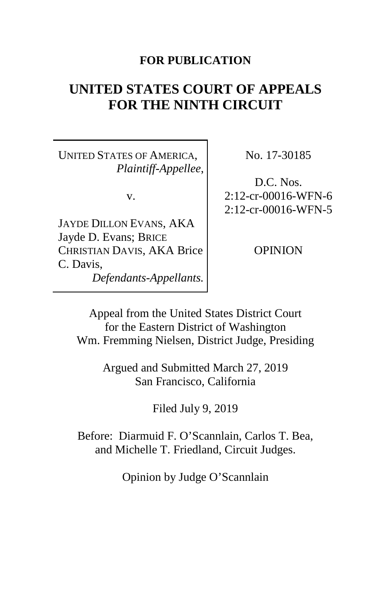## **FOR PUBLICATION**

# **UNITED STATES COURT OF APPEALS FOR THE NINTH CIRCUIT**

UNITED STATES OF AMERICA, *Plaintiff-Appellee*,

v.

JAYDE DILLON EVANS, AKA Jayde D. Evans; BRICE CHRISTIAN DAVIS, AKA Brice C. Davis, *Defendants-Appellants.* No. 17-30185

D.C. Nos. 2:12-cr-00016-WFN-6 2:12-cr-00016-WFN-5

OPINION

Appeal from the United States District Court for the Eastern District of Washington Wm. Fremming Nielsen, District Judge, Presiding

> Argued and Submitted March 27, 2019 San Francisco, California

> > Filed July 9, 2019

Before: Diarmuid F. O'Scannlain, Carlos T. Bea, and Michelle T. Friedland, Circuit Judges.

Opinion by Judge O'Scannlain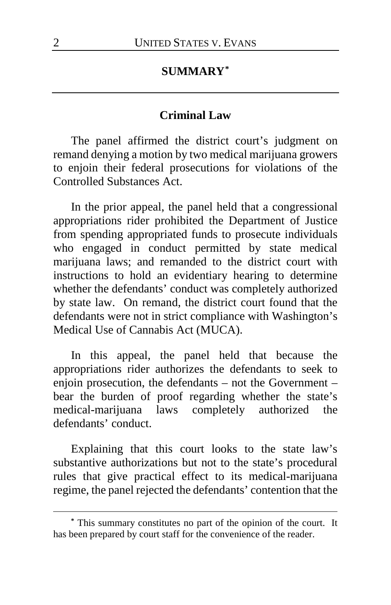# **SUMMARY[\\*](#page-1-0)**

#### **Criminal Law**

The panel affirmed the district court's judgment on remand denying a motion by two medical marijuana growers to enjoin their federal prosecutions for violations of the Controlled Substances Act.

In the prior appeal, the panel held that a congressional appropriations rider prohibited the Department of Justice from spending appropriated funds to prosecute individuals who engaged in conduct permitted by state medical marijuana laws; and remanded to the district court with instructions to hold an evidentiary hearing to determine whether the defendants' conduct was completely authorized by state law. On remand, the district court found that the defendants were not in strict compliance with Washington's Medical Use of Cannabis Act (MUCA).

In this appeal, the panel held that because the appropriations rider authorizes the defendants to seek to enjoin prosecution, the defendants – not the Government – bear the burden of proof regarding whether the state's medical-marijuana laws completely authorized the defendants' conduct.

Explaining that this court looks to the state law's substantive authorizations but not to the state's procedural rules that give practical effect to its medical-marijuana regime, the panel rejected the defendants' contention that the

<span id="page-1-0"></span>**<sup>\*</sup>** This summary constitutes no part of the opinion of the court. It has been prepared by court staff for the convenience of the reader.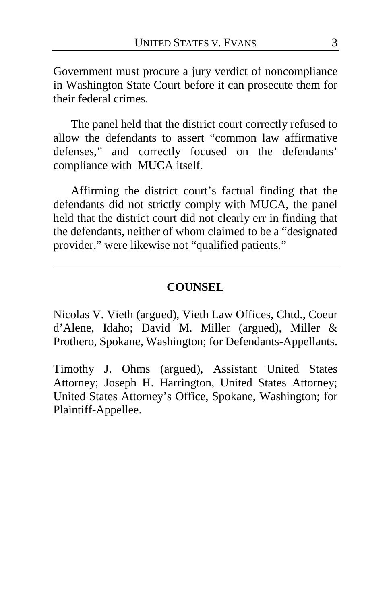Government must procure a jury verdict of noncompliance in Washington State Court before it can prosecute them for their federal crimes.

The panel held that the district court correctly refused to allow the defendants to assert "common law affirmative defenses," and correctly focused on the defendants' compliance with MUCA itself.

Affirming the district court's factual finding that the defendants did not strictly comply with MUCA, the panel held that the district court did not clearly err in finding that the defendants, neither of whom claimed to be a "designated provider," were likewise not "qualified patients."

### **COUNSEL**

Nicolas V. Vieth (argued), Vieth Law Offices, Chtd., Coeur d'Alene, Idaho; David M. Miller (argued), Miller & Prothero, Spokane, Washington; for Defendants-Appellants.

Timothy J. Ohms (argued), Assistant United States Attorney; Joseph H. Harrington, United States Attorney; United States Attorney's Office, Spokane, Washington; for Plaintiff-Appellee.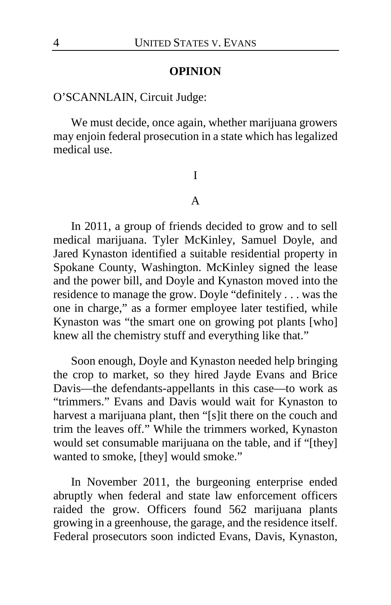#### **OPINION**

#### O'SCANNLAIN, Circuit Judge:

We must decide, once again, whether marijuana growers may enjoin federal prosecution in a state which has legalized medical use.

#### I

#### A

In 2011, a group of friends decided to grow and to sell medical marijuana. Tyler McKinley, Samuel Doyle, and Jared Kynaston identified a suitable residential property in Spokane County, Washington. McKinley signed the lease and the power bill, and Doyle and Kynaston moved into the residence to manage the grow. Doyle "definitely . . . was the one in charge," as a former employee later testified, while Kynaston was "the smart one on growing pot plants [who] knew all the chemistry stuff and everything like that."

Soon enough, Doyle and Kynaston needed help bringing the crop to market, so they hired Jayde Evans and Brice Davis—the defendants-appellants in this case—to work as "trimmers." Evans and Davis would wait for Kynaston to harvest a marijuana plant, then "[s]it there on the couch and trim the leaves off." While the trimmers worked, Kynaston would set consumable marijuana on the table, and if "[they] wanted to smoke, [they] would smoke."

In November 2011, the burgeoning enterprise ended abruptly when federal and state law enforcement officers raided the grow. Officers found 562 marijuana plants growing in a greenhouse, the garage, and the residence itself. Federal prosecutors soon indicted Evans, Davis, Kynaston,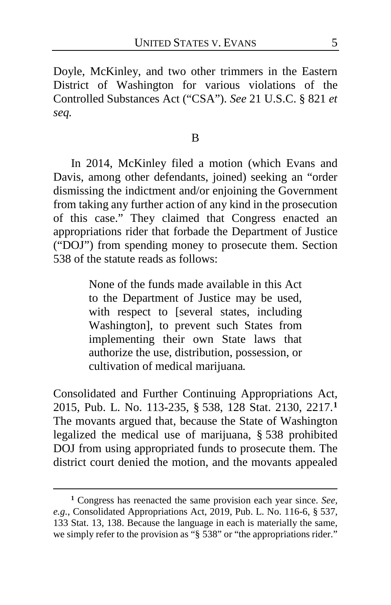Doyle, McKinley, and two other trimmers in the Eastern District of Washington for various violations of the Controlled Substances Act ("CSA"). *See* 21 U.S.C. § 821 *et seq.*

In 2014, McKinley filed a motion (which Evans and Davis, among other defendants, joined) seeking an "order dismissing the indictment and/or enjoining the Government from taking any further action of any kind in the prosecution of this case." They claimed that Congress enacted an appropriations rider that forbade the Department of Justice ("DOJ") from spending money to prosecute them. Section 538 of the statute reads as follows:

> None of the funds made available in this Act to the Department of Justice may be used, with respect to [several states, including Washington], to prevent such States from implementing their own State laws that authorize the use, distribution, possession, or cultivation of medical marijuana*.*

Consolidated and Further Continuing Appropriations Act, 2015, Pub. L. No. 113-235, § 538, 128 Stat. 2130, 2217.**[1](#page-4-0)** The movants argued that, because the State of Washington legalized the medical use of marijuana, § 538 prohibited DOJ from using appropriated funds to prosecute them. The district court denied the motion, and the movants appealed

<span id="page-4-0"></span>**<sup>1</sup>** Congress has reenacted the same provision each year since. *See, e.g.*, Consolidated Appropriations Act, 2019, Pub. L. No. 116-6, § 537, 133 Stat. 13, 138. Because the language in each is materially the same, we simply refer to the provision as "§ 538" or "the appropriations rider."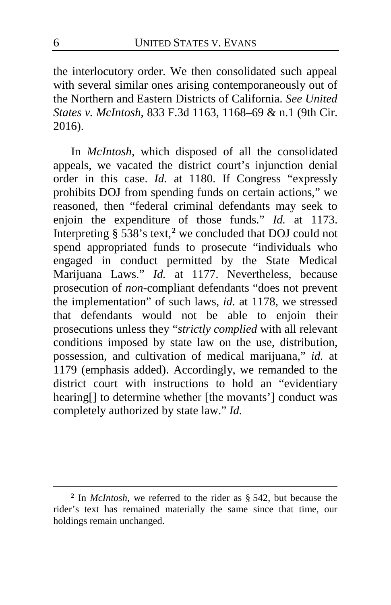the interlocutory order. We then consolidated such appeal with several similar ones arising contemporaneously out of the Northern and Eastern Districts of California. *See United States v. McIntosh*, 833 F.3d 1163, 1168–69 & n.1 (9th Cir. 2016).

In *McIntosh*, which disposed of all the consolidated appeals, we vacated the district court's injunction denial order in this case. *Id.* at 1180. If Congress "expressly prohibits DOJ from spending funds on certain actions," we reasoned, then "federal criminal defendants may seek to enjoin the expenditure of those funds." *Id.* at 1173. Interpreting § 538's text,**[2](#page-5-0)** we concluded that DOJ could not spend appropriated funds to prosecute "individuals who engaged in conduct permitted by the State Medical Marijuana Laws." *Id.* at 1177. Nevertheless, because prosecution of *non*-compliant defendants "does not prevent the implementation" of such laws, *id.* at 1178, we stressed that defendants would not be able to enjoin their prosecutions unless they "*strictly complied* with all relevant conditions imposed by state law on the use, distribution, possession, and cultivation of medical marijuana," *id.* at 1179 (emphasis added). Accordingly, we remanded to the district court with instructions to hold an "evidentiary hearing[] to determine whether [the movants'] conduct was completely authorized by state law." *Id.*

<span id="page-5-0"></span>**<sup>2</sup>** In *McIntosh*, we referred to the rider as § 542, but because the rider's text has remained materially the same since that time, our holdings remain unchanged.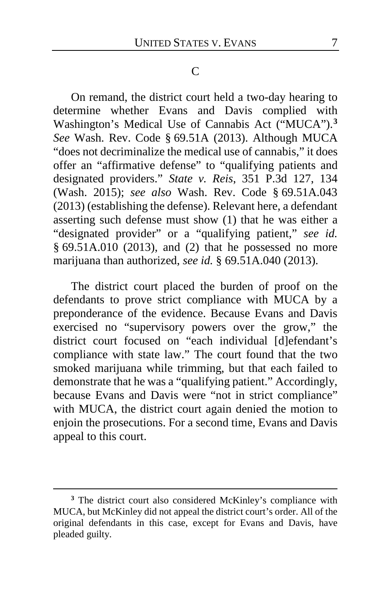#### C

On remand, the district court held a two-day hearing to determine whether Evans and Davis complied with Washington's Medical Use of Cannabis Act ("MUCA").**[3](#page-6-0)** *See* Wash. Rev. Code § 69.51A (2013). Although MUCA "does not decriminalize the medical use of cannabis," it does offer an "affirmative defense" to "qualifying patients and designated providers." *State v. Reis*, 351 P.3d 127, 134 (Wash. 2015); *see also* Wash. Rev. Code § 69.51A.043 (2013) (establishing the defense). Relevant here, a defendant asserting such defense must show (1) that he was either a "designated provider" or a "qualifying patient," *see id.* § 69.51A.010 (2013), and (2) that he possessed no more marijuana than authorized, *see id.* § 69.51A.040 (2013).

The district court placed the burden of proof on the defendants to prove strict compliance with MUCA by a preponderance of the evidence. Because Evans and Davis exercised no "supervisory powers over the grow," the district court focused on "each individual [d]efendant's compliance with state law." The court found that the two smoked marijuana while trimming, but that each failed to demonstrate that he was a "qualifying patient." Accordingly, because Evans and Davis were "not in strict compliance" with MUCA, the district court again denied the motion to enjoin the prosecutions. For a second time, Evans and Davis appeal to this court.

<span id="page-6-0"></span>**<sup>3</sup>** The district court also considered McKinley's compliance with MUCA, but McKinley did not appeal the district court's order. All of the original defendants in this case, except for Evans and Davis, have pleaded guilty.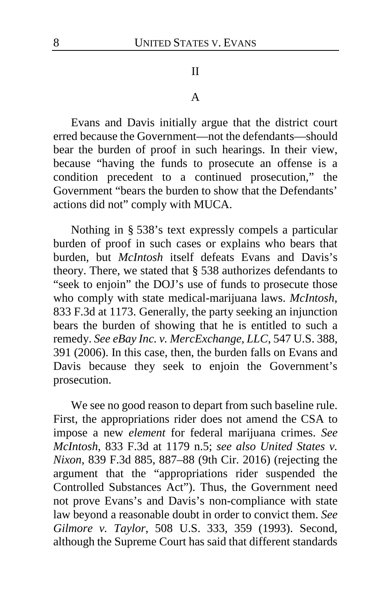#### II

#### A

Evans and Davis initially argue that the district court erred because the Government—not the defendants—should bear the burden of proof in such hearings. In their view, because "having the funds to prosecute an offense is a condition precedent to a continued prosecution," the Government "bears the burden to show that the Defendants' actions did not" comply with MUCA.

Nothing in § 538's text expressly compels a particular burden of proof in such cases or explains who bears that burden, but *McIntosh* itself defeats Evans and Davis's theory. There, we stated that § 538 authorizes defendants to "seek to enjoin" the DOJ's use of funds to prosecute those who comply with state medical-marijuana laws. *McIntosh*, 833 F.3d at 1173. Generally, the party seeking an injunction bears the burden of showing that he is entitled to such a remedy. *See eBay Inc. v. MercExchange, LLC*, 547 U.S. 388, 391 (2006). In this case, then, the burden falls on Evans and Davis because they seek to enjoin the Government's prosecution.

We see no good reason to depart from such baseline rule. First, the appropriations rider does not amend the CSA to impose a new *element* for federal marijuana crimes. *See McIntosh*, 833 F.3d at 1179 n.5; *see also United States v. Nixon*, 839 F.3d 885, 887–88 (9th Cir. 2016) (rejecting the argument that the "appropriations rider suspended the Controlled Substances Act"). Thus, the Government need not prove Evans's and Davis's non-compliance with state law beyond a reasonable doubt in order to convict them. *See Gilmore v. Taylor*, 508 U.S. 333, 359 (1993). Second, although the Supreme Court has said that different standards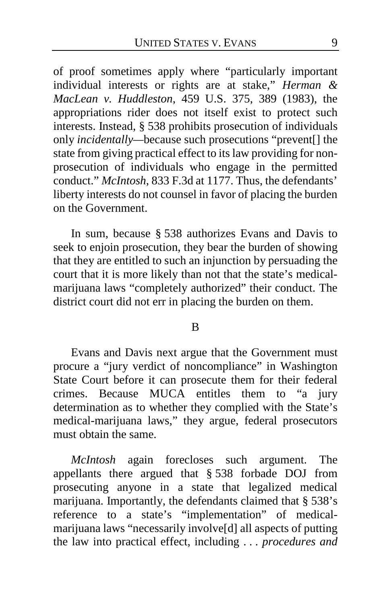of proof sometimes apply where "particularly important individual interests or rights are at stake," *Herman & MacLean v. Huddleston*, 459 U.S. 375, 389 (1983), the appropriations rider does not itself exist to protect such interests. Instead, § 538 prohibits prosecution of individuals only *incidentally—*because such prosecutions "prevent[] the state from giving practical effect to its law providing for nonprosecution of individuals who engage in the permitted conduct." *McIntosh*, 833 F.3d at 1177. Thus, the defendants' liberty interests do not counsel in favor of placing the burden on the Government.

In sum, because § 538 authorizes Evans and Davis to seek to enjoin prosecution, they bear the burden of showing that they are entitled to such an injunction by persuading the court that it is more likely than not that the state's medicalmarijuana laws "completely authorized" their conduct. The district court did not err in placing the burden on them.

B

Evans and Davis next argue that the Government must procure a "jury verdict of noncompliance" in Washington State Court before it can prosecute them for their federal crimes. Because MUCA entitles them to "a jury determination as to whether they complied with the State's medical-marijuana laws," they argue, federal prosecutors must obtain the same.

*McIntosh* again forecloses such argument. The appellants there argued that § 538 forbade DOJ from prosecuting anyone in a state that legalized medical marijuana. Importantly, the defendants claimed that § 538's reference to a state's "implementation" of medicalmarijuana laws "necessarily involve[d] all aspects of putting the law into practical effect, including . . . *procedures and*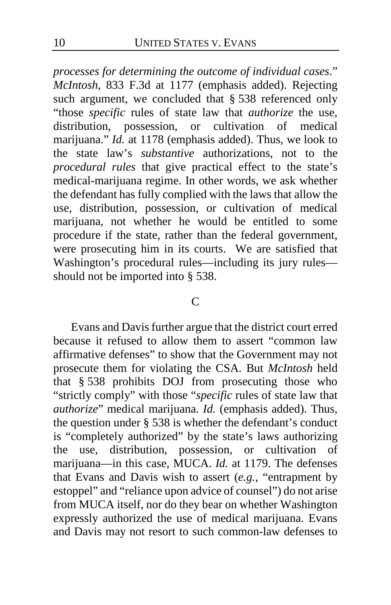*processes for determining the outcome of individual cases*." *McIntosh*, 833 F.3d at 1177 (emphasis added). Rejecting such argument, we concluded that § 538 referenced only "those *specific* rules of state law that *authorize* the use, distribution, possession, or cultivation of medical marijuana." *Id.* at 1178 (emphasis added). Thus, we look to the state law's *substantive* authorizations, not to the *procedural rules* that give practical effect to the state's medical-marijuana regime. In other words, we ask whether the defendant has fully complied with the laws that allow the use, distribution, possession, or cultivation of medical marijuana, not whether he would be entitled to some procedure if the state, rather than the federal government, were prosecuting him in its courts. We are satisfied that Washington's procedural rules—including its jury rules should not be imported into § 538.

#### C

Evans and Davis further argue that the district court erred because it refused to allow them to assert "common law affirmative defenses" to show that the Government may not prosecute them for violating the CSA. But *McIntosh* held that § 538 prohibits DOJ from prosecuting those who "strictly comply" with those "*specific* rules of state law that *authorize*" medical marijuana. *Id.* (emphasis added). Thus, the question under § 538 is whether the defendant's conduct is "completely authorized" by the state's laws authorizing the use, distribution, possession, or cultivation of marijuana—in this case, MUCA. *Id.* at 1179. The defenses that Evans and Davis wish to assert (*e.g.*, "entrapment by estoppel" and "reliance upon advice of counsel") do not arise from MUCA itself, nor do they bear on whether Washington expressly authorized the use of medical marijuana. Evans and Davis may not resort to such common-law defenses to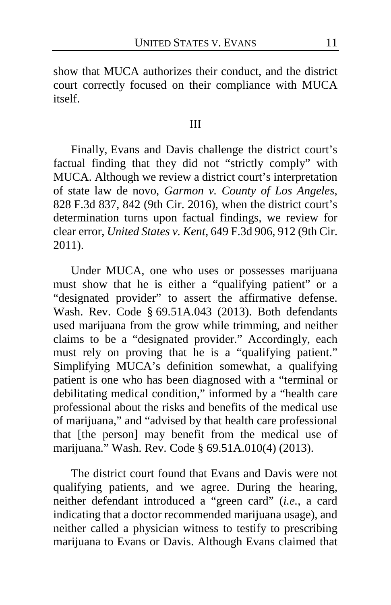show that MUCA authorizes their conduct, and the district court correctly focused on their compliance with MUCA itself.

#### III

Finally, Evans and Davis challenge the district court's factual finding that they did not "strictly comply" with MUCA. Although we review a district court's interpretation of state law de novo, *Garmon v. County of Los Angeles*, 828 F.3d 837, 842 (9th Cir. 2016), when the district court's determination turns upon factual findings, we review for clear error, *United States v. Kent*, 649 F.3d 906, 912 (9th Cir. 2011).

Under MUCA, one who uses or possesses marijuana must show that he is either a "qualifying patient" or a "designated provider" to assert the affirmative defense. Wash. Rev. Code § 69.51A.043 (2013). Both defendants used marijuana from the grow while trimming, and neither claims to be a "designated provider." Accordingly, each must rely on proving that he is a "qualifying patient." Simplifying MUCA's definition somewhat, a qualifying patient is one who has been diagnosed with a "terminal or debilitating medical condition," informed by a "health care professional about the risks and benefits of the medical use of marijuana," and "advised by that health care professional that [the person] may benefit from the medical use of marijuana." Wash. Rev. Code § 69.51A.010(4) (2013).

The district court found that Evans and Davis were not qualifying patients, and we agree. During the hearing, neither defendant introduced a "green card" (*i.e.*, a card indicating that a doctor recommended marijuana usage), and neither called a physician witness to testify to prescribing marijuana to Evans or Davis. Although Evans claimed that